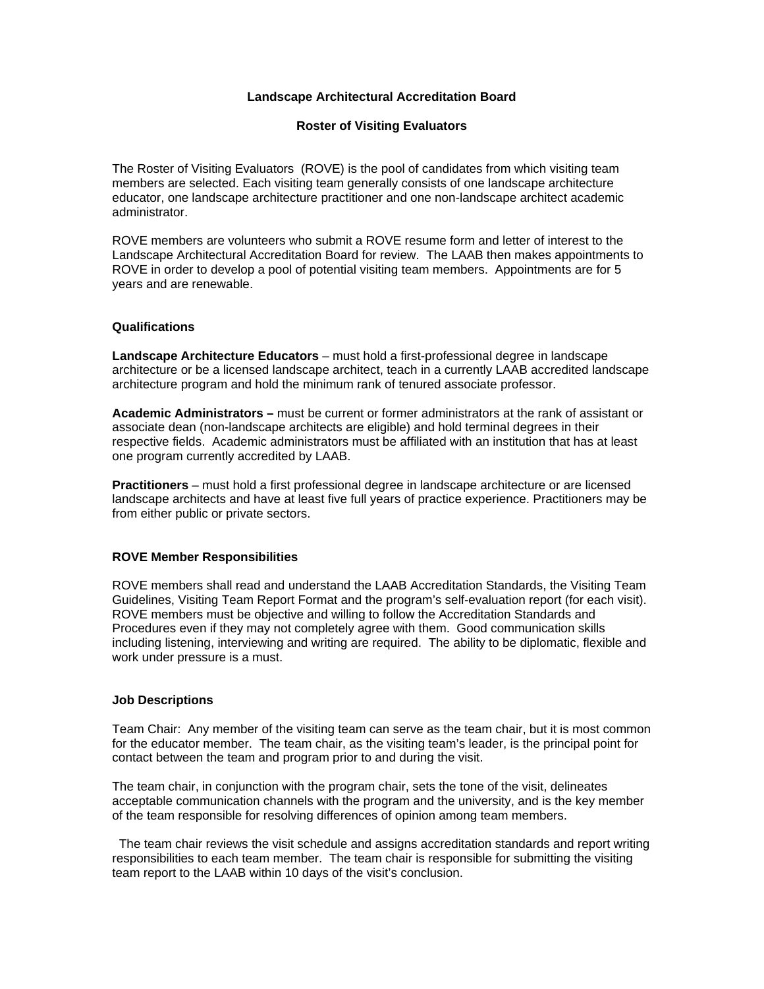## **Landscape Architectural Accreditation Board**

#### **Roster of Visiting Evaluators**

The Roster of Visiting Evaluators (ROVE) is the pool of candidates from which visiting team members are selected. Each visiting team generally consists of one landscape architecture educator, one landscape architecture practitioner and one non-landscape architect academic administrator.

ROVE members are volunteers who submit a ROVE resume form and letter of interest to the Landscape Architectural Accreditation Board for review. The LAAB then makes appointments to ROVE in order to develop a pool of potential visiting team members. Appointments are for 5 years and are renewable.

#### **Qualifications**

**Landscape Architecture Educators** – must hold a first-professional degree in landscape architecture or be a licensed landscape architect, teach in a currently LAAB accredited landscape architecture program and hold the minimum rank of tenured associate professor.

**Academic Administrators –** must be current or former administrators at the rank of assistant or associate dean (non-landscape architects are eligible) and hold terminal degrees in their respective fields. Academic administrators must be affiliated with an institution that has at least one program currently accredited by LAAB.

**Practitioners** – must hold a first professional degree in landscape architecture or are licensed landscape architects and have at least five full years of practice experience. Practitioners may be from either public or private sectors.

### **ROVE Member Responsibilities**

ROVE members shall read and understand the LAAB Accreditation Standards, the Visiting Team Guidelines, Visiting Team Report Format and the program's self-evaluation report (for each visit). ROVE members must be objective and willing to follow the Accreditation Standards and Procedures even if they may not completely agree with them. Good communication skills including listening, interviewing and writing are required. The ability to be diplomatic, flexible and work under pressure is a must.

#### **Job Descriptions**

Team Chair: Any member of the visiting team can serve as the team chair, but it is most common for the educator member. The team chair, as the visiting team's leader, is the principal point for contact between the team and program prior to and during the visit.

The team chair, in conjunction with the program chair, sets the tone of the visit, delineates acceptable communication channels with the program and the university, and is the key member of the team responsible for resolving differences of opinion among team members.

 The team chair reviews the visit schedule and assigns accreditation standards and report writing responsibilities to each team member. The team chair is responsible for submitting the visiting team report to the LAAB within 10 days of the visit's conclusion.